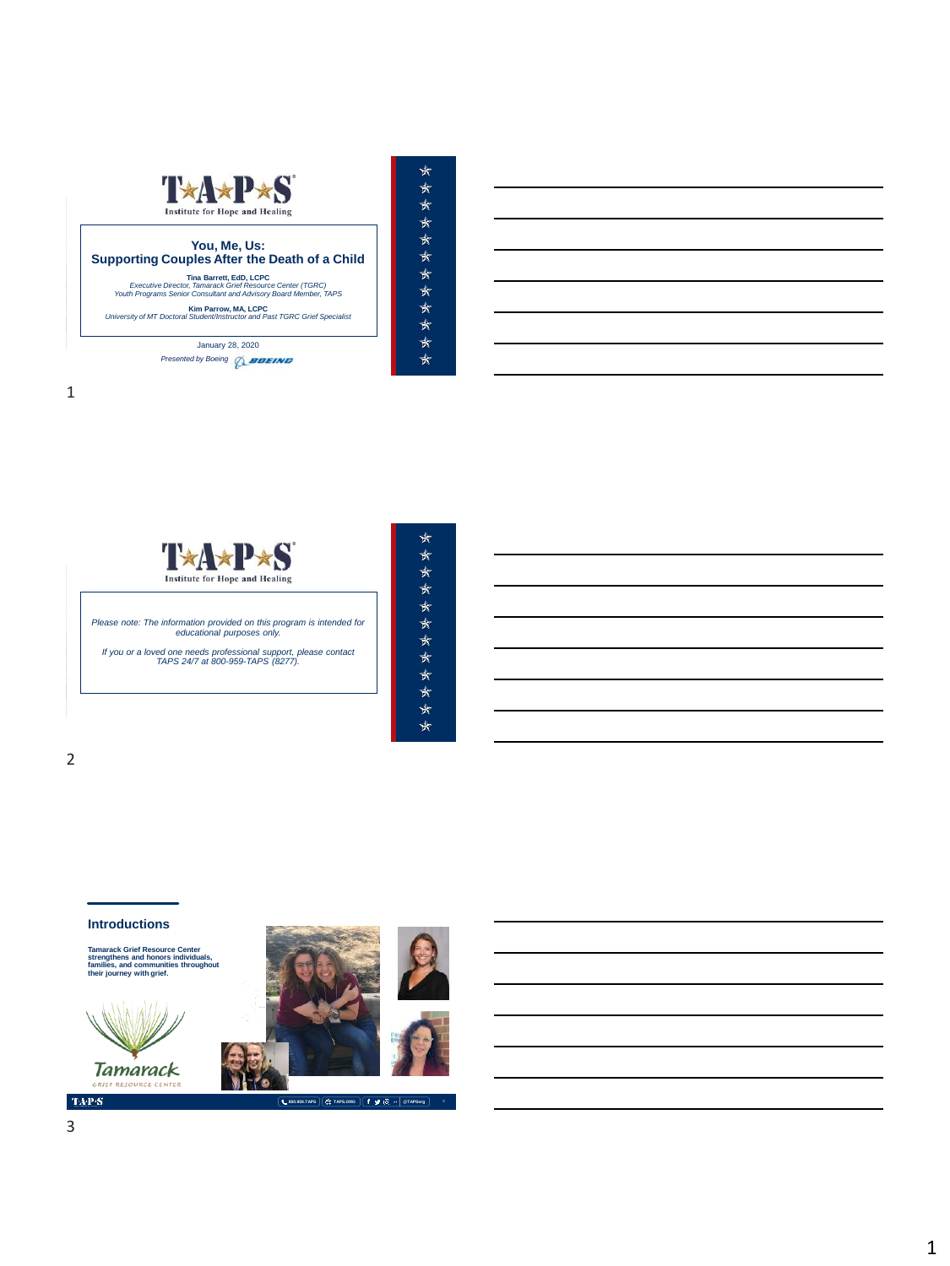





MEMORIAL DAY WEEKEND | MAY 2018

| ∗ |
|---|
| ₩ |
| ∗ |
| ∗ |
| ∗ |
| ∗ |
| ₩ |
| ₩ |
| ∗ |
| ₩ |
| ₩ |
| ∗ |

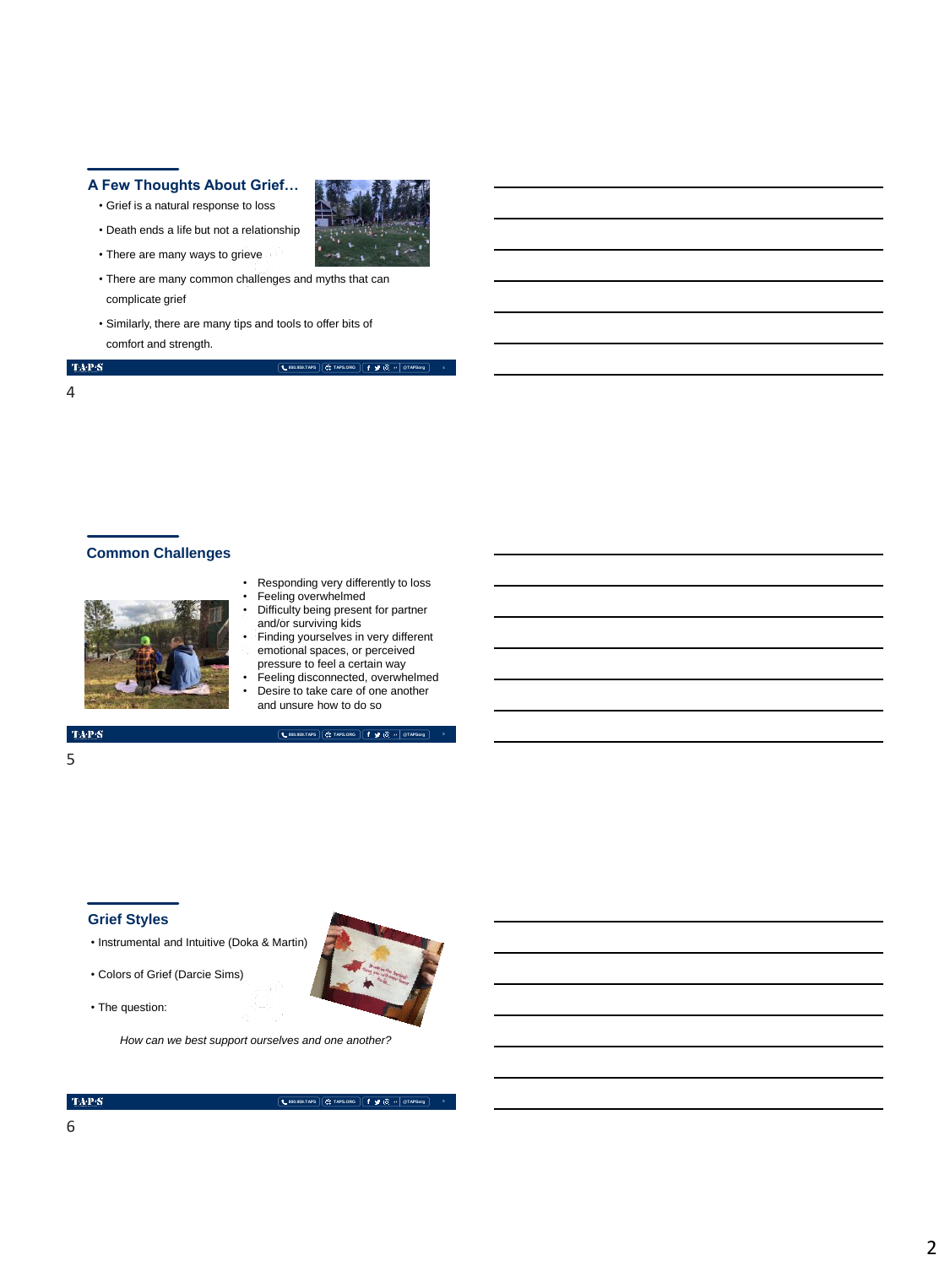### **A Few Thoughts About Grief…**

- Grief is a natural response to loss
- Death ends a life but not a relationship
- There are many ways to grieve
- There are many common challenges and myths that can complicate grief
- Similarly, there are many tips and tools to offer bits of comfort and strength.

**800.959.TAPS TAPS.ORG @TAPSorg**

**4**

## 4

**Common Challenges**



- Responding very differently to loss Feeling overwhelmed
- Difficulty being present for partner and/or surviving kids
- Finding yourselves in very different emotional spaces, or perceived
- pressure to feel a certain way Feeling disconnected, overwhelmed Desire to take care of one another

**800.959.TAPS TAPS.ORG @TAPSorg**

and unsure how to do so

#### **TAP'S**

5

# **Grief Styles**

- Instrumental and Intuitive (Doka & Martin)
- Colors of Grief (Darcie Sims)
- The question:

*How can we best support ourselves and one another?*

6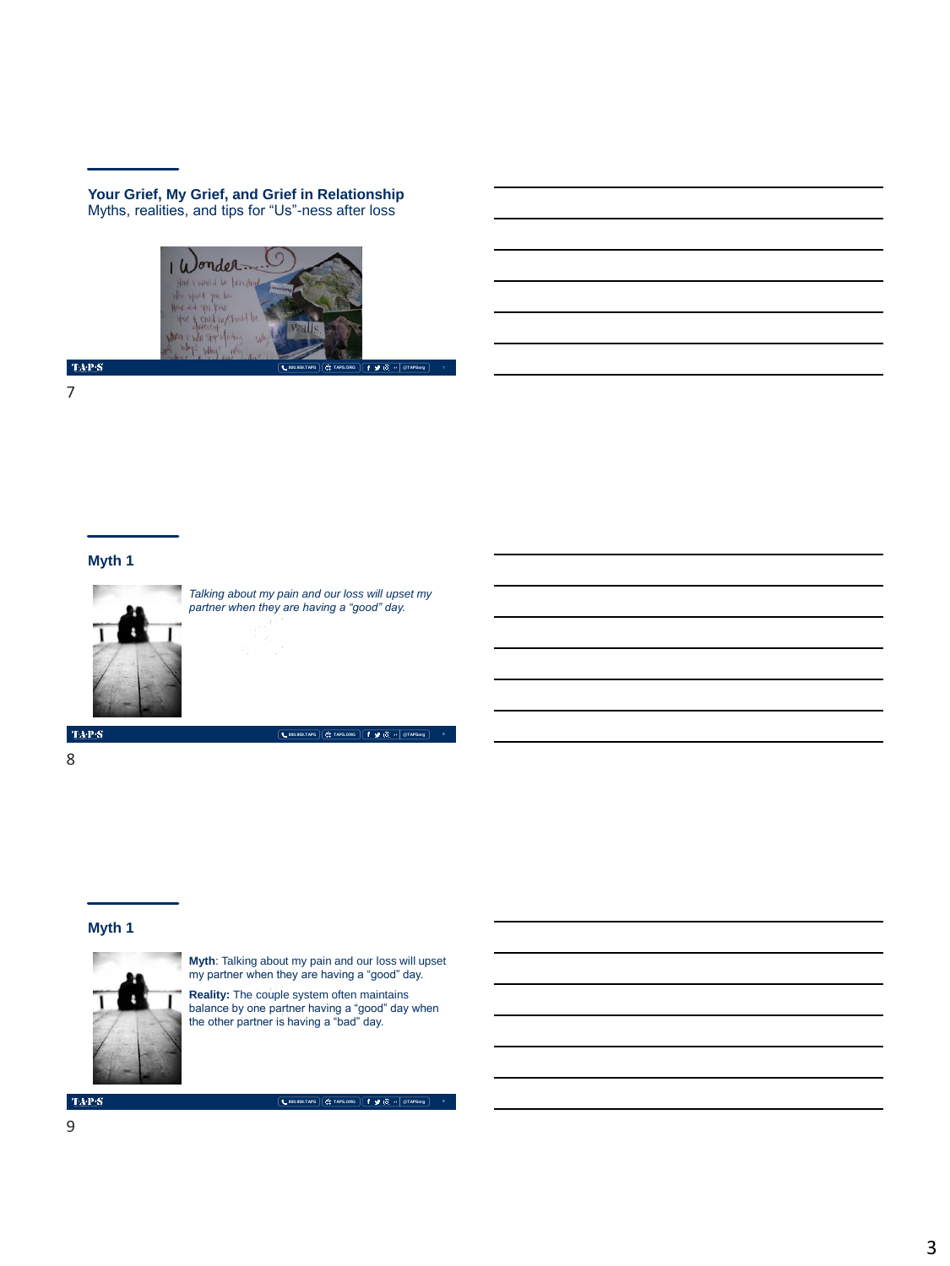**Your Grief, My Grief, and Grief in Relationship** Myths, realities, and tips for "Us"-ness after loss



 $\mathrm{TAP}S$ 

7

## **Myth 1**



*Talking about my pain and our loss will upset my partner when they are having a "good" day.*

**800.959.TAPS TAPS.ORG @TAPSorg**

 $\mathrm{TAP}S$ 

8

#### **Myth 1**



**Myth**: Talking about my pain and our loss will upset my partner when they are having a "good" day.

**Reality:** The couple system often maintains balance by one partner having a "good" day when the other partner is having a "bad" day.

**TAPS**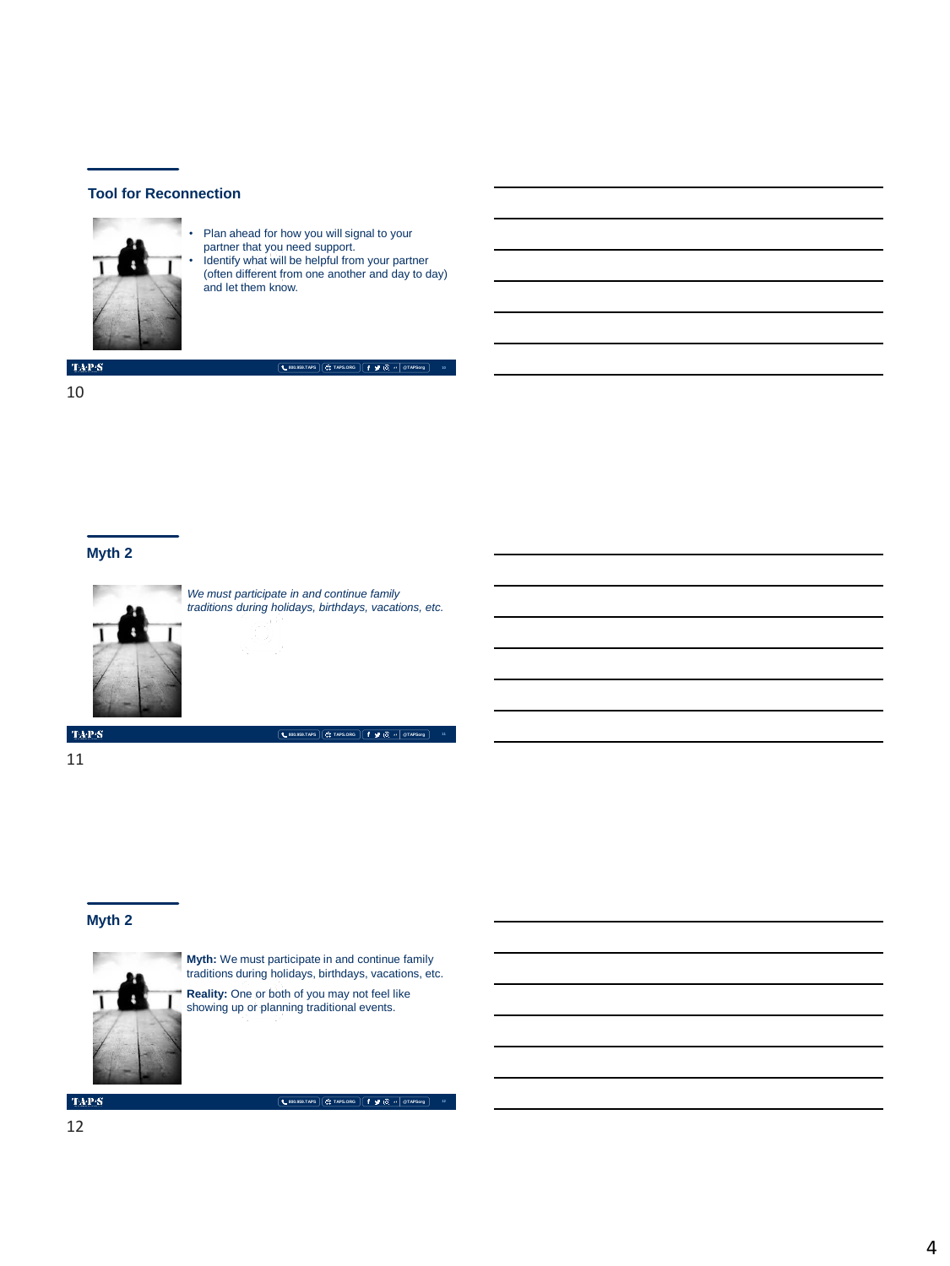

• Plan ahead for how you will signal to your partner that you need support. • Identify what will be helpful from your partner (often different from one another and day to day) and let them know.

**800.959.TAPS TAPS.ORG @TAPSorg**

 $\langle \mathbf{T} \mathbf{A} \mathbf{P} \mathbf{S} \rangle$ 

10

#### **Myth 2**



*We must participate in and continue family traditions during holidays, birthdays, vacations, etc.*

**800.959.TAPS TAPS.ORG @TAPSorg**

 $\mbox{TA-PS}$ 

11

### **Myth 2**



**Myth:** We must participate in and continue family traditions during holidays, birthdays, vacations, etc.

**Reality:** One or both of you may not feel like showing up or planning traditional events.

 $\mbox{TA-PS}$ 

**800.959.TAPS TAPS.ORG @TAPSorg**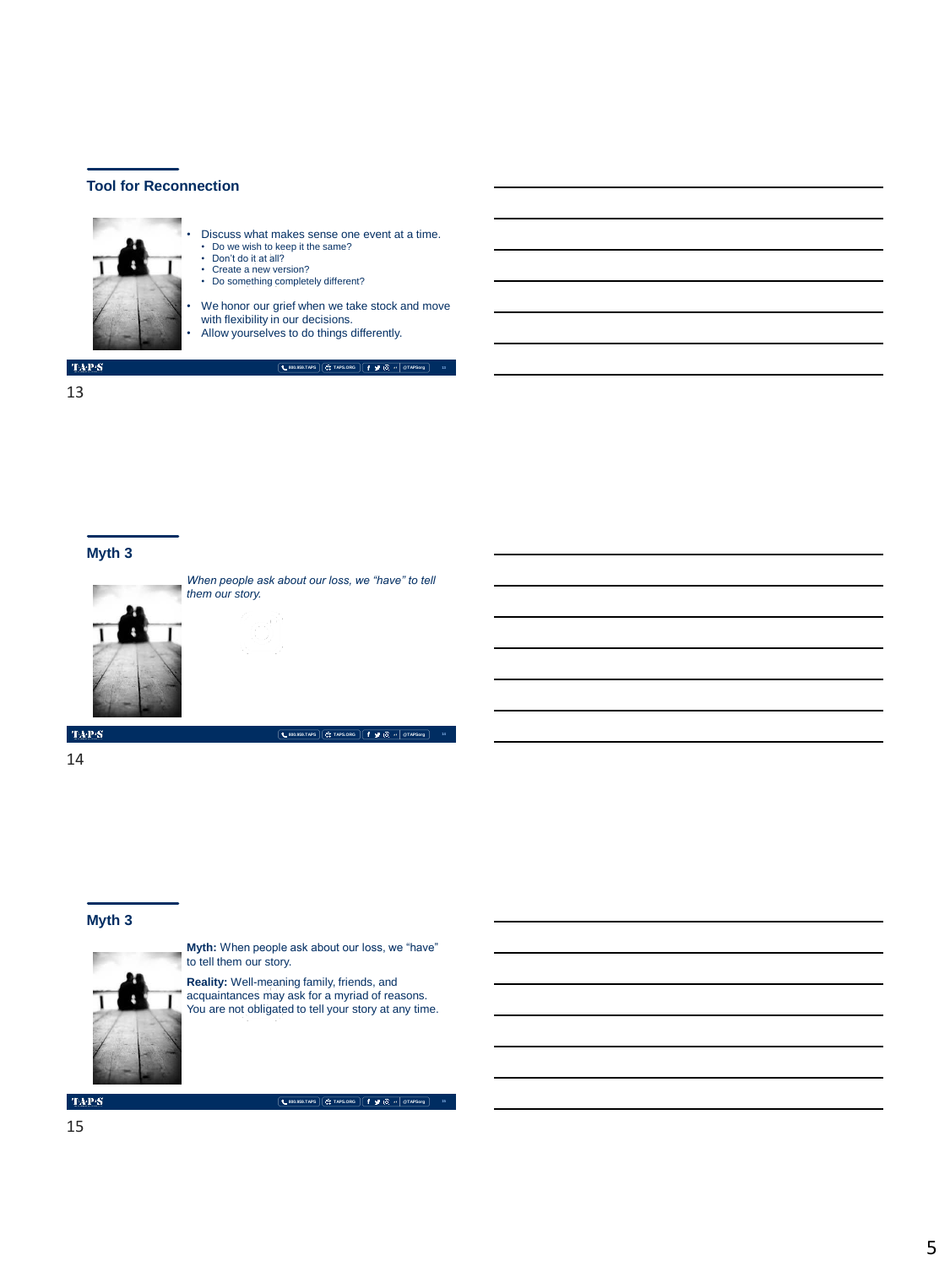

13

#### **Myth 3**



*When people ask about our loss, we "have" to tell them our story.*

**800.959.TAPS TAPS.ORG @TAPSorg**

 $\langle \ensuremath{\text{TA-P-S}}\xspace \rangle$ 

14

#### **Myth 3**



**Myth:** When people ask about our loss, we "have" to tell them our story.

**Reality:** Well-meaning family, friends, and<br>acquaintances may ask for a myriad of reasons.<br>You are not obligated to tell your story at any time.

 $\mbox{TA-PS}$ 

**800.959.TAPS TAPS.ORG @TAPSorg**

**15**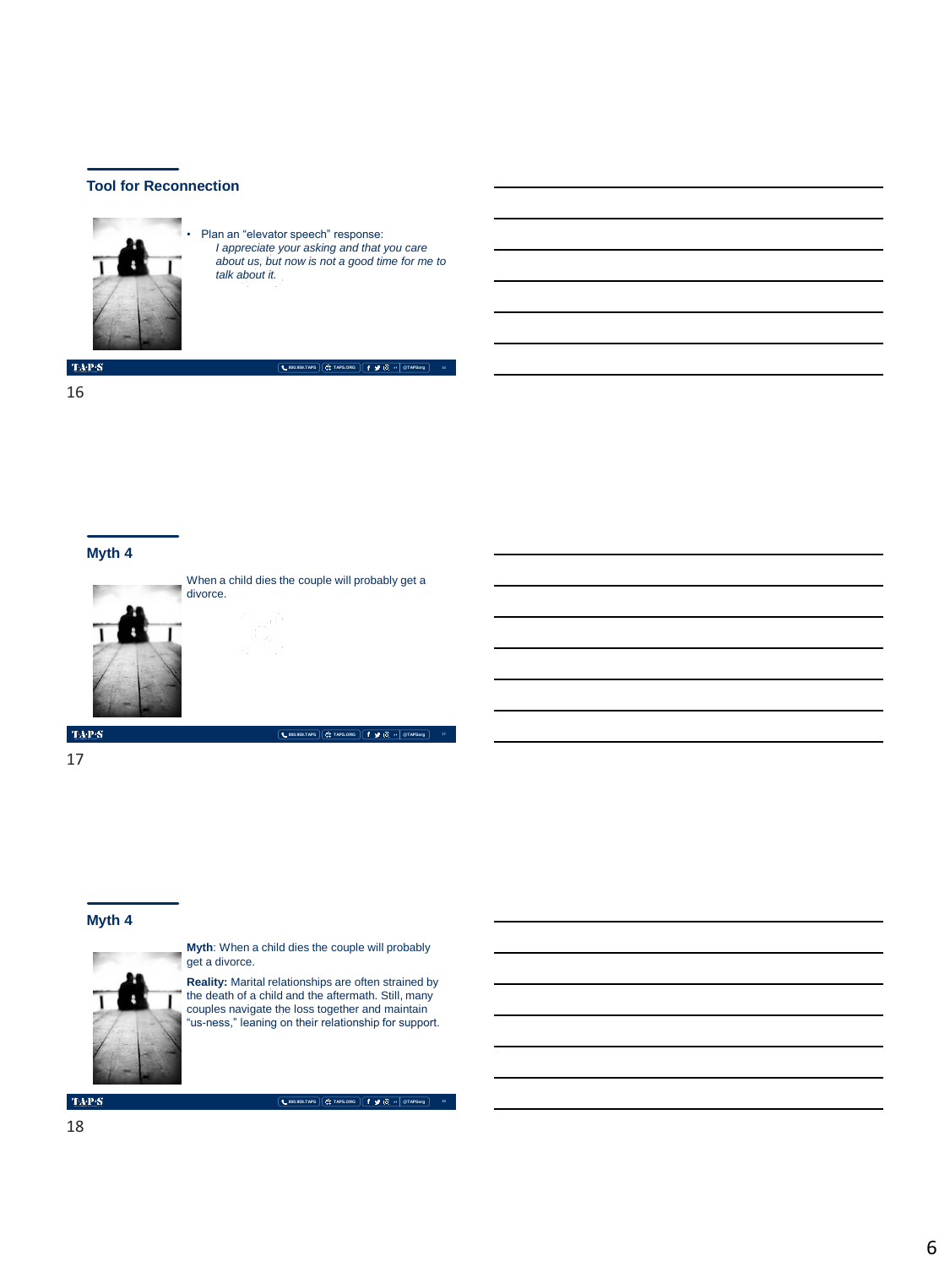

• Plan an "elevator speech" response: *I appreciate your asking and that you care about us, but now is not a good time for me to talk about it.*

**800.959.TAPS TAPS.ORG @TAPSorg**

**16**

 $\langle \mathbf{T} \mathbf{A} \mathbf{P} \mathbf{S} \rangle$ 

16

#### **Myth 4**



When a child dies the couple will probably get a divorce.

**800.959.TAPS TAPS.ORG @TAPSorg**

 $\langle \ensuremath{\text{TA-P-S}}\xspace \rangle$ 

17

#### **Myth 4**



**Myth**: When a child dies the couple will probably get a divorce.

**Reality:** Marital relationships are often strained by the death of a child and the aftermath. Still, many couples navigate the loss together and maintain "us-ness," leaning on their relationship for support.

 $\mathrm{TAP}S$ 

**800.959.TAPS TAPS.ORG @TAPSorg**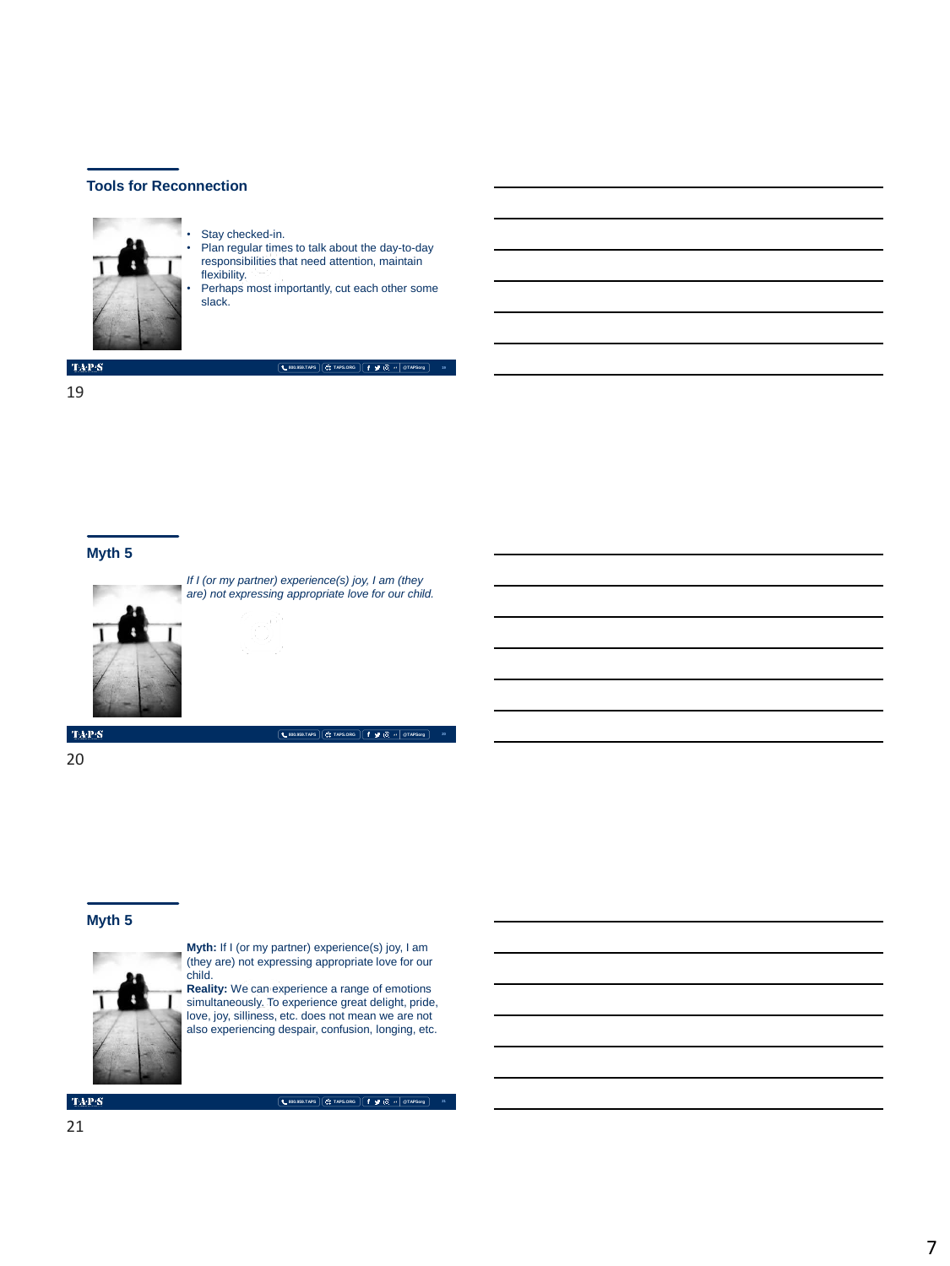

• Stay checked-in.

• Plan regular times to talk about the day-to-day responsibilities that need attention, maintain flexibility.

Perhaps most importantly, cut each other some slack.

 $\mbox{TA-PS}$ 

**800.959.TAPS TAPS.ORG @TAPSorg**

19

#### **Myth 5**



*If I (or my partner) experience(s) joy, I am (they are) not expressing appropriate love for our child.*

**800.959.TAPS TAPS.ORG @TAPSorg**

**20**

**21**

 $\langle \ensuremath{\text{TA-P-S}}\xspace \rangle$ 

20

#### **Myth 5**



**Myth:** If I (or my partner) experience(s) joy, I am (they are) not expressing appropriate love for our child.

**Reality:** We can experience a range of emotions simultaneously. To experience great delight, pride, love, joy, silliness, etc. does not mean we are not also experiencing despair, confusion, longing, etc.

**TAPS**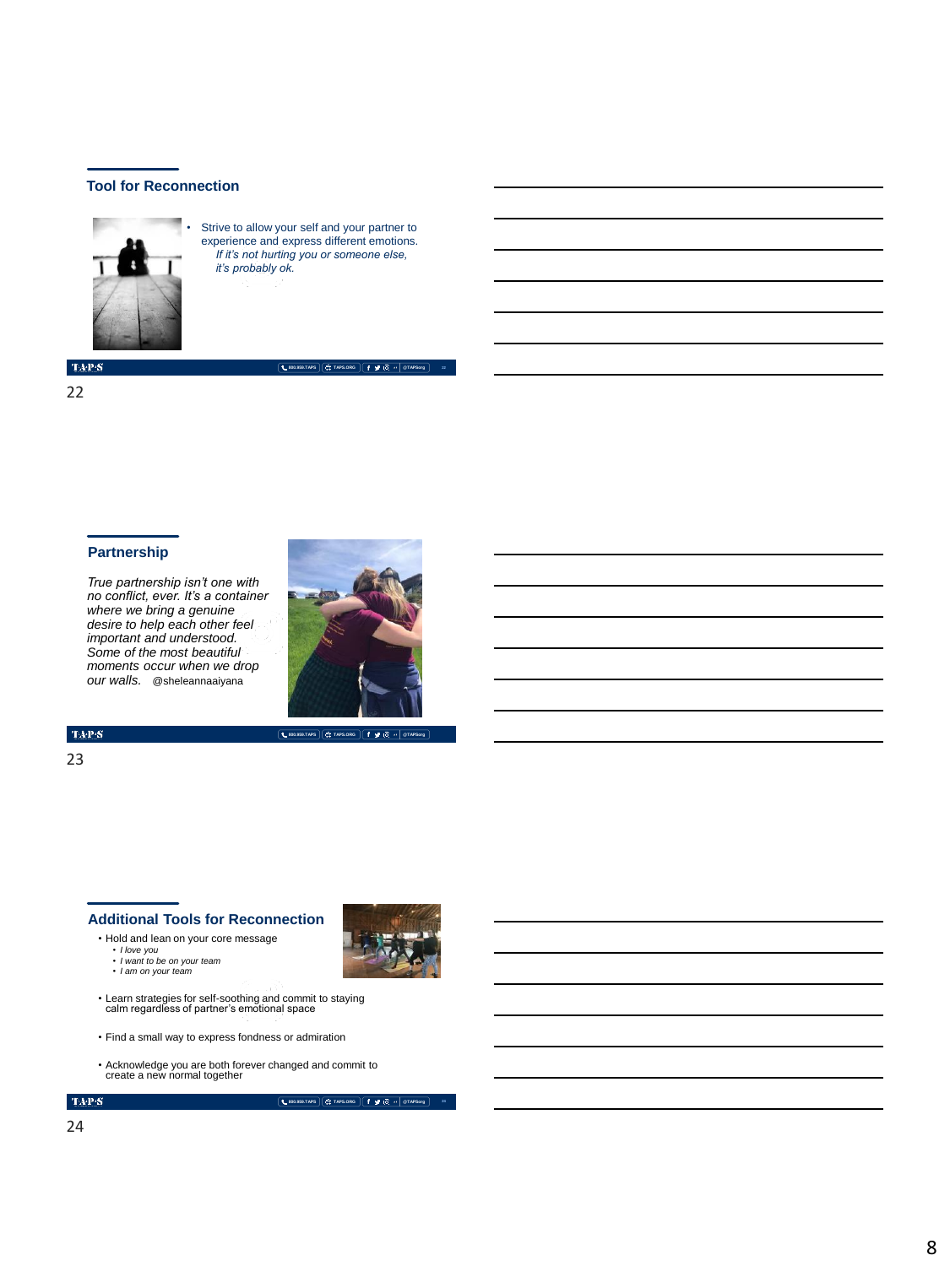

• Strive to allow your self and your partner to experience and express different emotions. *If it's not hurting you or someone else, it's probably ok.*

 $\langle \ensuremath{\text{TA-P-S}}\xspace \rangle$ 

22

#### **Partnership**

*True partnership isn't one with no conflict, ever. It's a container where we bring a genuine desire to help each other feel important and understood. Some of the most beautiful moments occur when we drop our walls.* @sheleannaaiyana



**800.959.TAPS TAPS.ORG @TAPSorg**

**800.959.TAPS TAPS.ORG @TAPSorg**

**22**

 $\mathrm{TAP}S$ 

23

#### **Additional Tools for Reconnection**

• Hold and lean on your core message

- *I love you I want to be on your team*
- *I am on your team*
- Learn strategies for self-soothing and commit to staying calm regardless of partner's emotional space
- Find a small way to express fondness or admiration
- Acknowledge you are both forever changed and commit to create a new normal together

 $\mathbf{TAPS}$ 

**800.959.TAPS TAPS.ORG @TAPSorg**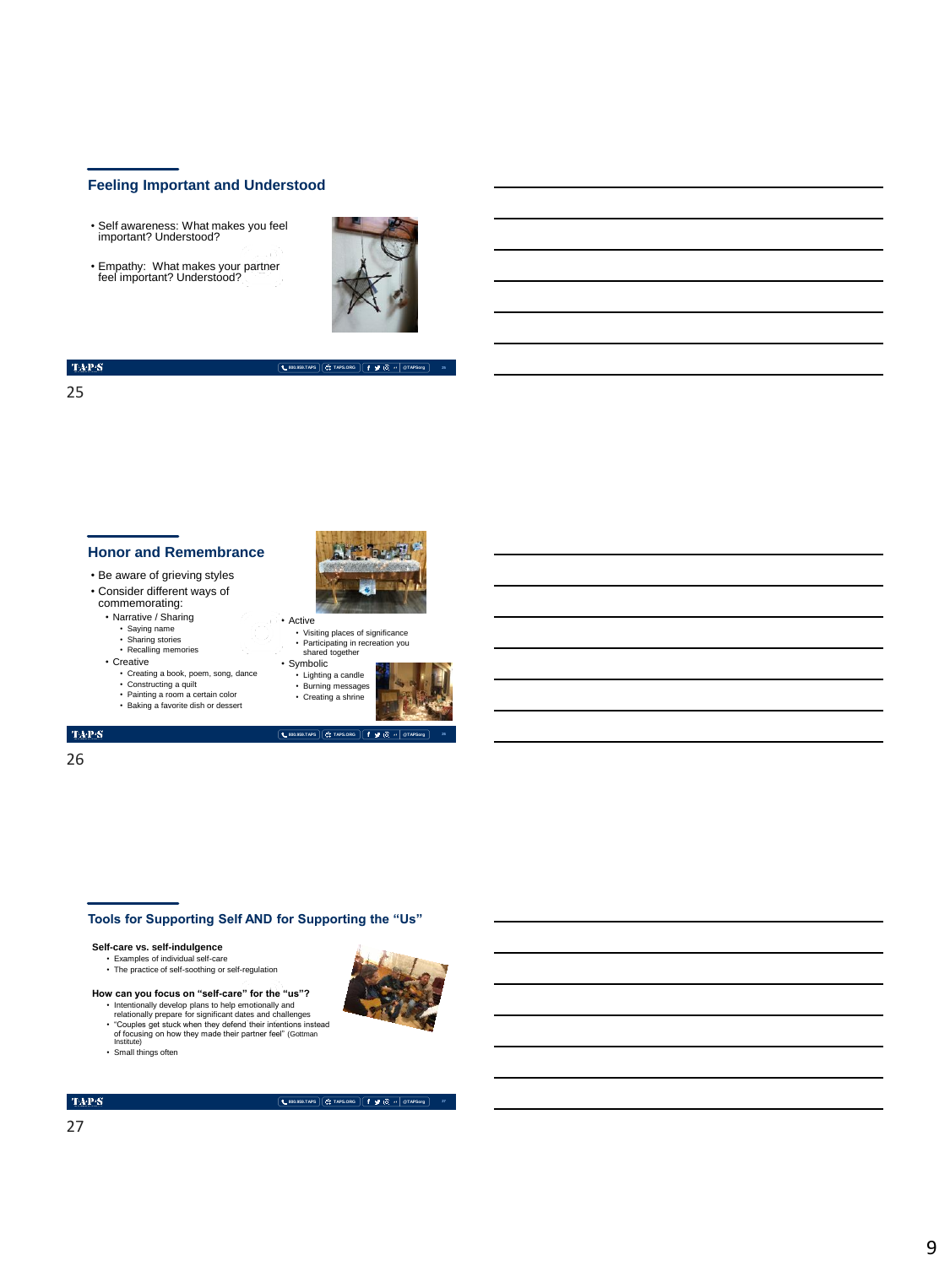#### **Feeling Important and Understood**

- Self awareness: What makes you feel important? Understood?
- Empathy: What makes your partner feel important? Understood?



**800.959.TAPS TAPS.ORG @TAPSorg**

#### $\mathrm{TAPS}$

#### 25

#### **Honor and Remembrance**

- Be aware of grieving styles • Consider different ways of
- commemorating:
- Narrative / Sharing
	-
	- Saying name Sharing stories Recalling memories
- Creative
	- Creating a book, poem, song, dance Constructing a quilt
	-
	- Painting a room a certain color Baking a favorite dish or dessert



- Visiting places of significance • Participating in recreation you shared together
- Symbolic
	- Lighting a candle • Burning messages • Creating a shrine



#### $\mathrm{TAP}S$

26

# **Tools for Supporting Self AND for Supporting the "Us"**

- **Self-care vs. self-indulgence**<br>
Examples of individual self-care<br>
The practice of self-soothing or self-regulation
- **How can you focus on "self-care" for the "us"?**
- Intentionally develop plans to help emotionally and relationally prepare for significant dates and challenges • "Couples get stuck when they defend their intentions instead of focusing on how they made their partner feel" (Gottman Institute) • Small things often
- 
- 



**27**

#### $\mbox{TA-PS}$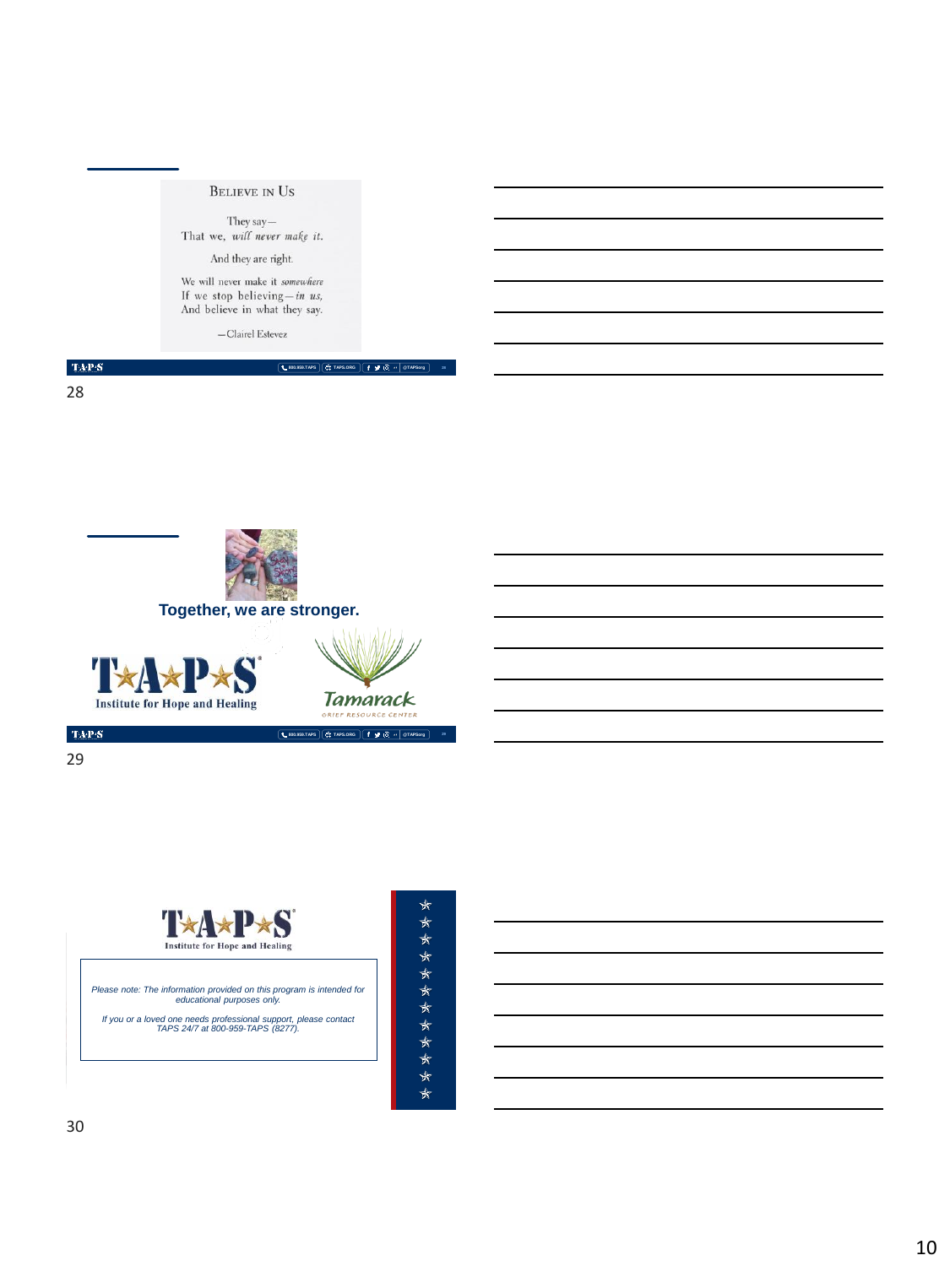

We will never make it somewhere If we stop believing  $-in$  us,<br>And believe in what they say.

 $-$ Clairel Estevez

 $\langle \mathbf{T} \mathbf{A} \mathbf{P} \mathbf{S} \rangle$ 

28



**Together, we are stronger.**





**29**

**800.959.TAPS TAPS.ORG @TAPSorg**

**800.959.TAPS TAPS.ORG @TAPSorg**

 $\mbox{TAPS}$ 29